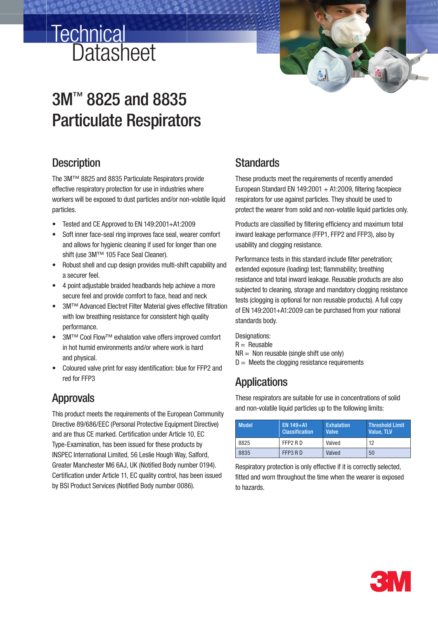# **Datasheet Technical**

# 3M™ 8825 and 8835 Particulate Respirators

# **Description**

The 3M™ 8825 and 8835 Particulate Respirators provide effective respiratory protection for use in industries where workers will be exposed to dust particles and/or non-volatile liquid particles.

- Tested and CE Approved to EN 149:2001+A1:2009
- Soft inner face-seal ring improves face seal, wearer comfort and allows for hygienic cleaning if used for longer than one shift (use 3M™ 105 Face Seal Cleaner).
- Robust shell and cup design provides multi-shift capability and a securer feel.
- 4 point adjustable braided headbands help achieve a more secure feel and provide comfort to face, head and neck
- 3M™ Advanced Electret Filter Material gives effective filtration with low breathing resistance for consistent high quality performance.
- 3M™ Cool Flow™ exhalation valve offers improved comfort in hot humid environments and/or where work is hard and physical.
- Coloured valve print for easy identification: blue for FFP2 and red for FFP3

# Approvals

This product meets the requirements of the European Community Directive 89/686/EEC (Personal Protective Equipment Directive) and are thus CE marked. Certification under Article 10, EC Type-Examination, has been issued for these products by INSPEC International Limited, 56 Leslie Hough Way, Salford, Greater Manchester M6 6AJ, UK (Notified Body number 0194). Certification under Article 11, EC quality control, has been issued by BSI Product Services (Notified Body number 0086).

# **Standards**

These products meet the requirements of recently amended European Standard EN 149:2001  $+$  A1:2009, filtering facepiece respirators for use against particles. They should be used to protect the wearer from solid and non-volatile liquid particles only.

Products are classified by filtering efficiency and maximum total inward leakage performance (FFP1, FFP2 and FFP3), also by usability and clogging resistance.

Performance tests in this standard include filter penetration; extended exposure (loading) test; flammability; breathing resistance and total inward leakage. Reusable products are also subjected to cleaning, storage and mandatory clogging resistance tests (clogging is optional for non reusable products). A full copy of EN 149:2001+A1:2009 can be purchased from your national standards body.

Designations:  $R =$  Reusable  $NR =$  Non reusable (single shift use only)  $D =$  Meets the clogging resistance requirements

# **Applications**

These respirators are suitable for use in concentrations of solid and non-volatile liquid particles up to the following limits:

| <b>Model</b> | EN 149+A1<br><b>Classification</b> | <b>Exhalation</b><br><b>Valve</b> | <b>Threshold Limit</b><br>Value. TLV |
|--------------|------------------------------------|-----------------------------------|--------------------------------------|
| 8825         | FFP2 RD                            | Valved                            | 12                                   |
| 8835         | FFP3 RD                            | Valved                            | 50                                   |

Respiratory protection is only effective if it is correctly selected, fitted and worn throughout the time when the wearer is exposed to hazards.

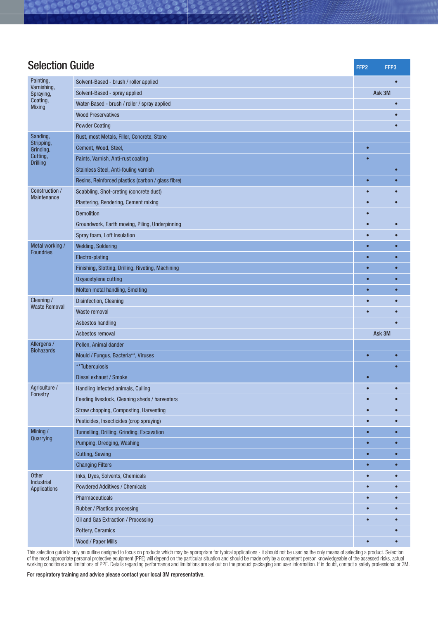| <b>Selection Guide</b>                                 |                                                    |           | FFP3   |
|--------------------------------------------------------|----------------------------------------------------|-----------|--------|
| Painting,<br>Solvent-Based - brush / roller applied    |                                                    |           |        |
| Varnishing,<br>Spraying,                               | Solvent-Based - spray applied                      |           | Ask 3M |
| Coating,<br><b>Mixing</b>                              | Water-Based - brush / roller / spray applied       |           |        |
|                                                        | <b>Wood Preservatives</b>                          |           |        |
|                                                        | <b>Powder Coating</b>                              |           |        |
| Sanding,                                               | Rust, most Metals, Filler, Concrete, Stone         |           |        |
| Stripping,<br>Grinding,<br>Cutting,<br><b>Drilling</b> | Cement, Wood, Steel,                               | $\bullet$ |        |
|                                                        | Paints, Varnish, Anti-rust coating                 | $\bullet$ |        |
|                                                        | Stainless Steel, Anti-fouling varnish              |           |        |
|                                                        | Resins, Reinforced plastics (carbon / glass fibre) | $\bullet$ |        |
| Construction /<br>Maintenance                          | Scabbling, Shot-creting (concrete dust)            |           |        |
|                                                        | Plastering, Rendering, Cement mixing               |           |        |
|                                                        | <b>Demolition</b>                                  |           |        |
|                                                        | Groundwork, Earth moving, Piling, Underpinning     |           |        |
|                                                        | Spray foam, Loft Insulation                        |           |        |
| Metal working /                                        | <b>Welding, Soldering</b>                          |           |        |
| <b>Foundries</b>                                       | Electro-plating                                    | $\bullet$ |        |
|                                                        | Finishing, Slotting, Drilling, Riveting, Machining | $\bullet$ |        |
|                                                        | Oxyacetylene cutting                               | $\bullet$ |        |
|                                                        | Molten metal handling, Smelting                    | $\bullet$ |        |
| Cleaning /                                             | Disinfection, Cleaning                             | О         |        |
| <b>Waste Removal</b>                                   | Waste removal                                      | О         |        |
|                                                        | Asbestos handling                                  |           |        |
|                                                        | Asbestos removal                                   | Ask 3M    |        |
| Allergens /                                            | Pollen, Animal dander                              |           |        |
| <b>Biohazards</b>                                      | Mould / Fungus, Bacteria**, Viruses                | $\bullet$ |        |
|                                                        | **Tuberculosis                                     |           |        |
|                                                        | Diesel exhaust / Smoke                             | $\bullet$ |        |
| Agriculture /<br>Forestry                              | Handling infected animals, Culling                 |           |        |
|                                                        | Feeding livestock, Cleaning sheds / harvesters     |           |        |
|                                                        | Straw chopping, Composting, Harvesting             |           |        |
|                                                        | Pesticides, Insecticides (crop spraying)           | $\bullet$ |        |
| Mining/<br>Quarrying                                   | Tunnelling, Drilling, Grinding, Excavation         | $\bullet$ |        |
|                                                        | Pumping, Dredging, Washing                         | $\bullet$ |        |
|                                                        | Cutting, Sawing                                    | $\bullet$ |        |
|                                                        | <b>Changing Filters</b>                            | $\bullet$ |        |
| Other<br>Industrial                                    | Inks, Dyes, Solvents, Chemicals                    | o         |        |
| <b>Applications</b>                                    | <b>Powdered Additives / Chemicals</b>              |           |        |
|                                                        | Pharmaceuticals                                    |           |        |
|                                                        | Rubber / Plastics processing                       |           |        |
|                                                        | Oil and Gas Extraction / Processing                |           |        |
|                                                        | Pottery, Ceramics                                  |           |        |
|                                                        | Wood / Paper Mills                                 | $\bullet$ |        |

This selection guide is only an outline designed to focus on products which may be appropriate for typical applications - it should not be used as the only means of selecting a product. Selection of the most appropriate personal protective equipment (PPE) will depend on the particular situation and should be made only by a competent person knowledgeable of the assessed risks, actual working conditions and limitations of PPE. Details regarding performance and limitations are set out on the product packaging and user information. If in doubt, contact a safety professional or 3M.

For respiratory training and advice please contact your local 3M representative.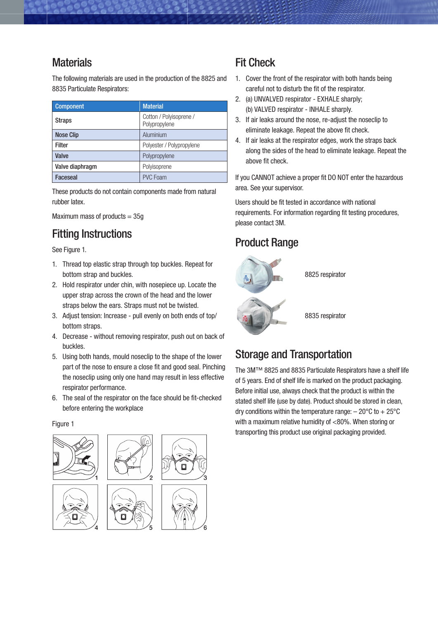## **Materials**

The following materials are used in the production of the 8825 and 8835 Particulate Respirators:

| <b>Component</b> | <b>Material</b>                          |
|------------------|------------------------------------------|
| <b>Straps</b>    | Cotton / Polyisoprene /<br>Polypropylene |
| <b>Nose Clip</b> | Aluminium                                |
| <b>Filter</b>    | Polyester / Polypropylene                |
| Valve            | Polypropylene                            |
| Valve diaphragm  | Polyisoprene                             |
| Faceseal         | <b>PVC Foam</b>                          |

These products do not contain components made from natural rubber latex.

Maximum mass of products  $= 35q$ 

# Fitting Instructions

See Figure 1.

- 1. Thread top elastic strap through top buckles. Repeat for bottom strap and buckles.
- 2. Hold respirator under chin, with nosepiece up. Locate the upper strap across the crown of the head and the lower straps below the ears. Straps must not be twisted.
- 3. Adjust tension: Increase pull evenly on both ends of top/ bottom straps.
- 4. Decrease without removing respirator, push out on back of buckles.
- 5. Using both hands, mould noseclip to the shape of the lower part of the nose to ensure a close fit and good seal. Pinching the noseclip using only one hand may result in less effective respirator performance.
- 6. The seal of the respirator on the face should be fit-checked before entering the workplace

#### Figure 1



## Fit Check

- 1. Cover the front of the respirator with both hands being careful not to disturb the fit of the respirator.
- 2. (a) UNVALVED respirator EXHALE sharply; (b) VALVED respirator - INHALE sharply.
- 3. If air leaks around the nose, re-adjust the noseclip to eliminate leakage. Repeat the above fit check.
- 4. If air leaks at the respirator edges, work the straps back along the sides of the head to eliminate leakage. Repeat the above fit check.

If you CANNOT achieve a proper fit DO NOT enter the hazardous area. See your supervisor.

Users should be fit tested in accordance with national requirements. For information regarding fit testing procedures, please contact 3M.

# Product Range



8825 respirator

8835 respirator

# Storage and Transportation

The 3M™ 8825 and 8835 Particulate Respirators have a shelf life of 5 years. End of shelf life is marked on the product packaging. Before initial use, always check that the product is within the stated shelf life (use by date). Product should be stored in clean, dry conditions within the temperature range:  $-20^{\circ}$ C to  $+25^{\circ}$ C with a maximum relative humidity of <80%. When storing or transporting this product use original packaging provided.